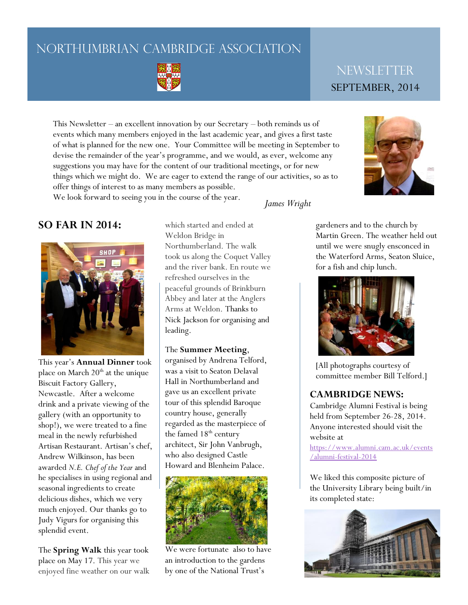# NORTHUMBRIAN CAMBRIDGE ASSOCIATION



# **NEWSLETTER** SEPTEMBER, 2014

This Newsletter – an excellent innovation by our Secretary – both reminds us of events which many members enjoyed in the last academic year, and gives a first taste of what is planned for the new one. Your Committee will be meeting in September to devise the remainder of the year's programme, and we would, as ever, welcome any suggestions you may have for the content of our traditional meetings, or for new things which we might do. We are eager to extend the range of our activities, so as to offer things of interest to as many members as possible. We look forward to seeing you in the course of the year. *James Wright*



## **SO FAR IN 2014:**



This year's **Annual Dinner** took place on March  $20<sup>th</sup>$  at the unique Biscuit Factory Gallery, Newcastle. After a welcome drink and a private viewing of the gallery (with an opportunity to shop!), we were treated to a fine meal in the newly refurbished Artisan Restaurant. Artisan's chef, Andrew Wilkinson, has been awarded *N.E. Chef of the Year* and he specialises in using regional and seasonal ingredients to create delicious dishes, which we very much enjoyed. Our thanks go to Judy Vigurs for organising this splendid event.

The **Spring Walk** this year took place on May 17. This year we enjoyed fine weather on our walk

which started and ended at Weldon Bridge in Northumberland. The walk took us along the Coquet Valley and the river bank. En route we refreshed ourselves in the peaceful grounds of Brinkburn Abbey and later at the Anglers Arms at Weldon. Thanks to Nick Jackson for organising and leading.

#### The **Summer Meeting**,

organised by Andrena Telford, was a visit to Seaton Delaval Hall in Northumberland and gave us an excellent private tour of this splendid Baroque country house, generally regarded as the masterpiece of the famed 18<sup>th</sup> century architect, Sir John Vanbrugh, who also designed Castle Howard and Blenheim Palace.



We were fortunate also to have an introduction to the gardens by one of the National Trust's

gardeners and to the church by Martin Green. The weather held out until we were snugly ensconced in the Waterford Arms, Seaton Sluice, for a fish and chip lunch.



[All photographs courtesy of committee member Bill Telford.]

#### **CAMBRIDGE NEWS:**

Cambridge Alumni Festival is being held from September 26-28, 2014. Anyone interested should visit the website at

[https://www.alumni.cam.ac.uk/events](https://www.alumni.cam.ac.uk/events/alumni-festival-2014) [/alumni-festival-2014](https://www.alumni.cam.ac.uk/events/alumni-festival-2014)

We liked this composite picture of the University Library being built/in its completed state: